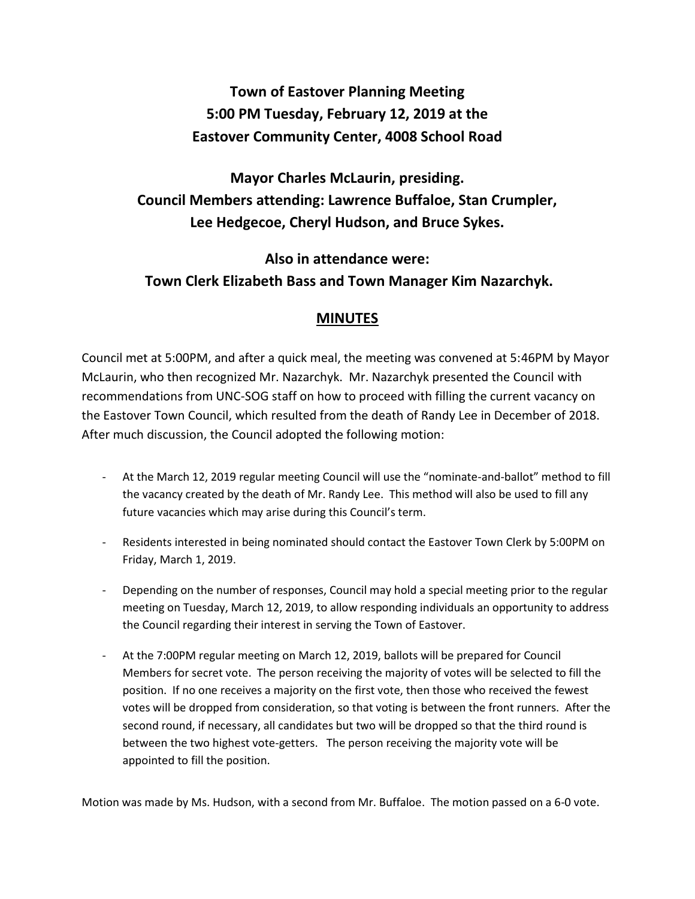## **Town of Eastover Planning Meeting 5:00 PM Tuesday, February 12, 2019 at the Eastover Community Center, 4008 School Road**

**Mayor Charles McLaurin, presiding. Council Members attending: Lawrence Buffaloe, Stan Crumpler, Lee Hedgecoe, Cheryl Hudson, and Bruce Sykes.** 

**Also in attendance were: Town Clerk Elizabeth Bass and Town Manager Kim Nazarchyk.**

## **MINUTES**

Council met at 5:00PM, and after a quick meal, the meeting was convened at 5:46PM by Mayor McLaurin, who then recognized Mr. Nazarchyk. Mr. Nazarchyk presented the Council with recommendations from UNC-SOG staff on how to proceed with filling the current vacancy on the Eastover Town Council, which resulted from the death of Randy Lee in December of 2018. After much discussion, the Council adopted the following motion:

- At the March 12, 2019 regular meeting Council will use the "nominate-and-ballot" method to fill the vacancy created by the death of Mr. Randy Lee. This method will also be used to fill any future vacancies which may arise during this Council's term.
- Residents interested in being nominated should contact the Eastover Town Clerk by 5:00PM on Friday, March 1, 2019.
- Depending on the number of responses, Council may hold a special meeting prior to the regular meeting on Tuesday, March 12, 2019, to allow responding individuals an opportunity to address the Council regarding their interest in serving the Town of Eastover.
- At the 7:00PM regular meeting on March 12, 2019, ballots will be prepared for Council Members for secret vote. The person receiving the majority of votes will be selected to fill the position. If no one receives a majority on the first vote, then those who received the fewest votes will be dropped from consideration, so that voting is between the front runners. After the second round, if necessary, all candidates but two will be dropped so that the third round is between the two highest vote-getters. The person receiving the majority vote will be appointed to fill the position.

Motion was made by Ms. Hudson, with a second from Mr. Buffaloe. The motion passed on a 6-0 vote.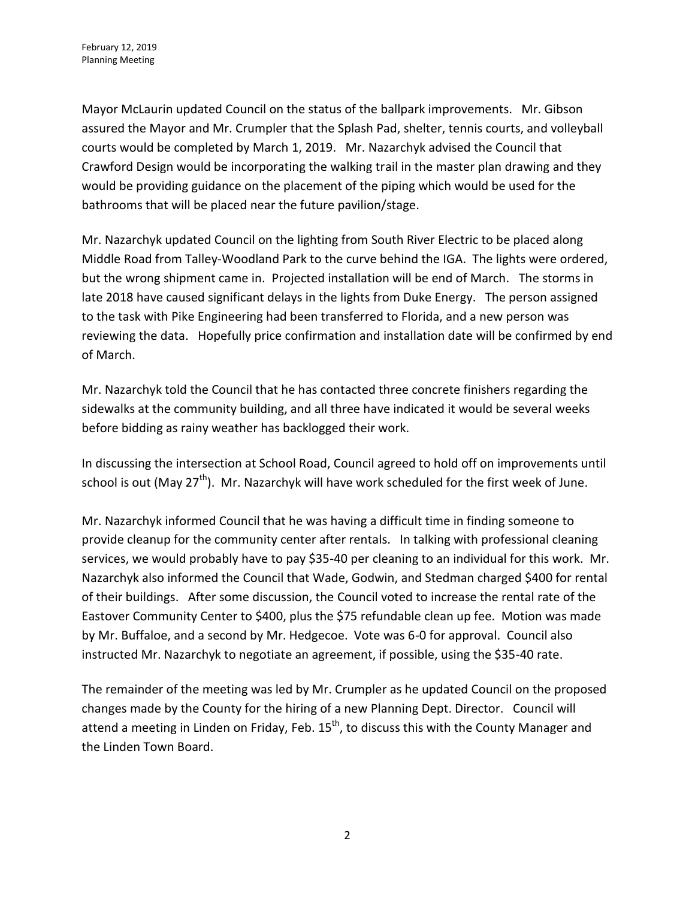Mayor McLaurin updated Council on the status of the ballpark improvements. Mr. Gibson assured the Mayor and Mr. Crumpler that the Splash Pad, shelter, tennis courts, and volleyball courts would be completed by March 1, 2019. Mr. Nazarchyk advised the Council that Crawford Design would be incorporating the walking trail in the master plan drawing and they would be providing guidance on the placement of the piping which would be used for the bathrooms that will be placed near the future pavilion/stage.

Mr. Nazarchyk updated Council on the lighting from South River Electric to be placed along Middle Road from Talley-Woodland Park to the curve behind the IGA. The lights were ordered, but the wrong shipment came in. Projected installation will be end of March. The storms in late 2018 have caused significant delays in the lights from Duke Energy. The person assigned to the task with Pike Engineering had been transferred to Florida, and a new person was reviewing the data. Hopefully price confirmation and installation date will be confirmed by end of March.

Mr. Nazarchyk told the Council that he has contacted three concrete finishers regarding the sidewalks at the community building, and all three have indicated it would be several weeks before bidding as rainy weather has backlogged their work.

In discussing the intersection at School Road, Council agreed to hold off on improvements until school is out (May 27<sup>th</sup>). Mr. Nazarchyk will have work scheduled for the first week of June.

Mr. Nazarchyk informed Council that he was having a difficult time in finding someone to provide cleanup for the community center after rentals. In talking with professional cleaning services, we would probably have to pay \$35-40 per cleaning to an individual for this work. Mr. Nazarchyk also informed the Council that Wade, Godwin, and Stedman charged \$400 for rental of their buildings. After some discussion, the Council voted to increase the rental rate of the Eastover Community Center to \$400, plus the \$75 refundable clean up fee. Motion was made by Mr. Buffaloe, and a second by Mr. Hedgecoe. Vote was 6-0 for approval. Council also instructed Mr. Nazarchyk to negotiate an agreement, if possible, using the \$35-40 rate.

The remainder of the meeting was led by Mr. Crumpler as he updated Council on the proposed changes made by the County for the hiring of a new Planning Dept. Director. Council will attend a meeting in Linden on Friday, Feb.  $15<sup>th</sup>$ , to discuss this with the County Manager and the Linden Town Board.